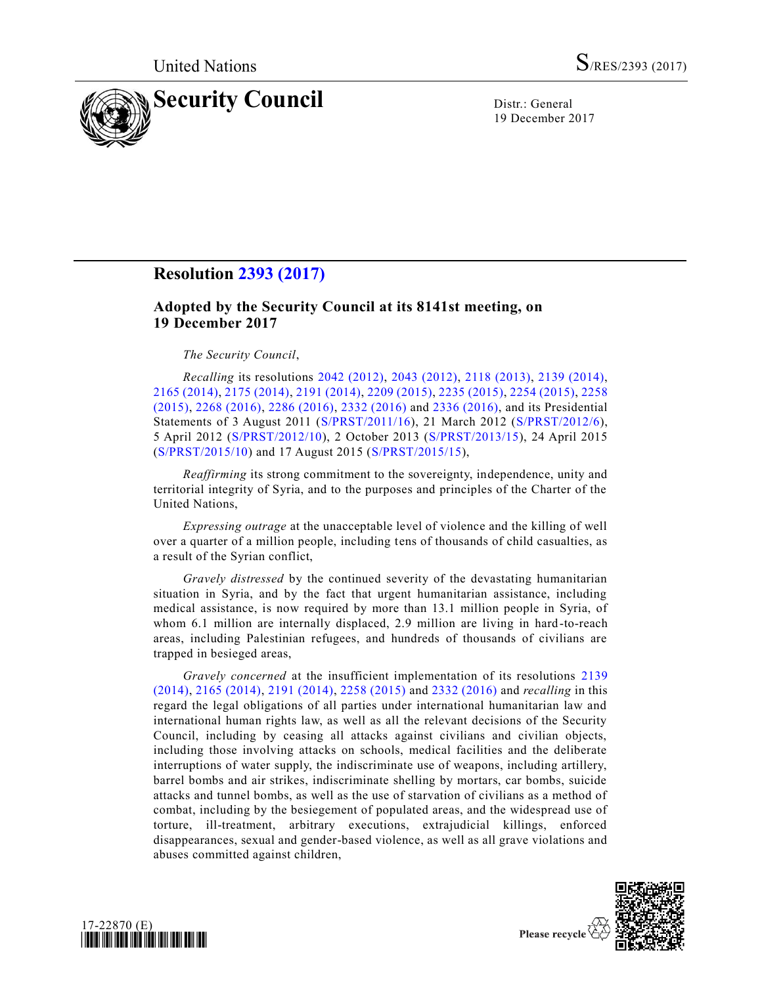

19 December 2017

## **Resolution [2393 \(2017\)](https://undocs.org/S/RES/2393(2017))**

## **Adopted by the Security Council at its 8141st meeting, on 19 December 2017**

## *The Security Council*,

*Recalling* its resolutions [2042 \(2012\),](https://undocs.org/S/RES/2042(2012)) [2043 \(2012\),](https://undocs.org/S/RES/2043(2012)) [2118 \(2013\),](https://undocs.org/S/RES/2118(2013)) [2139 \(2014\),](https://undocs.org/S/RES/2139(2014)) [2165 \(2014\),](https://undocs.org/S/RES/2165(2014)) [2175 \(2014\),](https://undocs.org/S/RES/2175(2014)) [2191 \(2014\),](https://undocs.org/S/RES/2191(2014)) [2209 \(2015\),](https://undocs.org/S/RES/2209(2015)) [2235 \(2015\),](https://undocs.org/S/RES/2235(2015)) [2254 \(2015\),](https://undocs.org/S/RES/2254(2015)) [2258](https://undocs.org/S/RES/2258(2015))  [\(2015\),](https://undocs.org/S/RES/2258(2015)) [2268 \(2016\),](https://undocs.org/S/RES/2268(2016)) [2286 \(2016\),](https://undocs.org/S/RES/2286(2016)) [2332 \(2016\)](https://undocs.org/S/RES/2332(2016)) and [2336 \(2016\),](https://undocs.org/S/RES/2336(2016)) and its Presidential Statements of 3 August 2011 [\(S/PRST/2011/16\)](https://undocs.org/S/PRST/2011/16), 21 March 2012 [\(S/PRST/2012/6\)](https://undocs.org/S/PRST/2012/6), 5 April 2012 [\(S/PRST/2012/10\)](https://undocs.org/S/PRST/2012/10), 2 October 2013 [\(S/PRST/2013/15\)](https://undocs.org/S/PRST/2013/15), 24 April 2015 [\(S/PRST/2015/10\)](https://undocs.org/S/PRST/2015/10) and 17 August 2015 [\(S/PRST/2015/15\)](https://undocs.org/S/PRST/2015/15),

*Reaffirming* its strong commitment to the sovereignty, independence, unity and territorial integrity of Syria, and to the purposes and principles of the Charter of the United Nations,

*Expressing outrage* at the unacceptable level of violence and the killing of well over a quarter of a million people, including tens of thousands of child casualties, as a result of the Syrian conflict,

*Gravely distressed* by the continued severity of the devastating humanitarian situation in Syria, and by the fact that urgent humanitarian assistance, including medical assistance, is now required by more than 13.1 million people in Syria, of whom 6.1 million are internally displaced, 2.9 million are living in hard-to-reach areas, including Palestinian refugees, and hundreds of thousands of civilians are trapped in besieged areas,

*Gravely concerned* at the insufficient implementation of its resolutions [2139](https://undocs.org/S/RES/2139(2014))  [\(2014\),](https://undocs.org/S/RES/2139(2014)) [2165 \(2014\),](https://undocs.org/S/RES/2165(2014)) [2191 \(2014\),](https://undocs.org/S/RES/2191(2014)) [2258 \(2015\)](https://undocs.org/S/RES/2258(2015)) and [2332 \(2016\)](https://undocs.org/S/RES/2332(2016)) and *recalling* in this regard the legal obligations of all parties under international humanitarian law and international human rights law, as well as all the relevant decisions of the Security Council, including by ceasing all attacks against civilians and civilian objects, including those involving attacks on schools, medical facilities and the deliberate interruptions of water supply, the indiscriminate use of weapons, including artillery, barrel bombs and air strikes, indiscriminate shelling by mortars, car bombs, suicide attacks and tunnel bombs, as well as the use of starvation of civilians as a method of combat, including by the besiegement of populated areas, and the widespread use of torture, ill-treatment, arbitrary executions, extrajudicial killings, enforced disappearances, sexual and gender-based violence, as well as all grave violations and abuses committed against children,



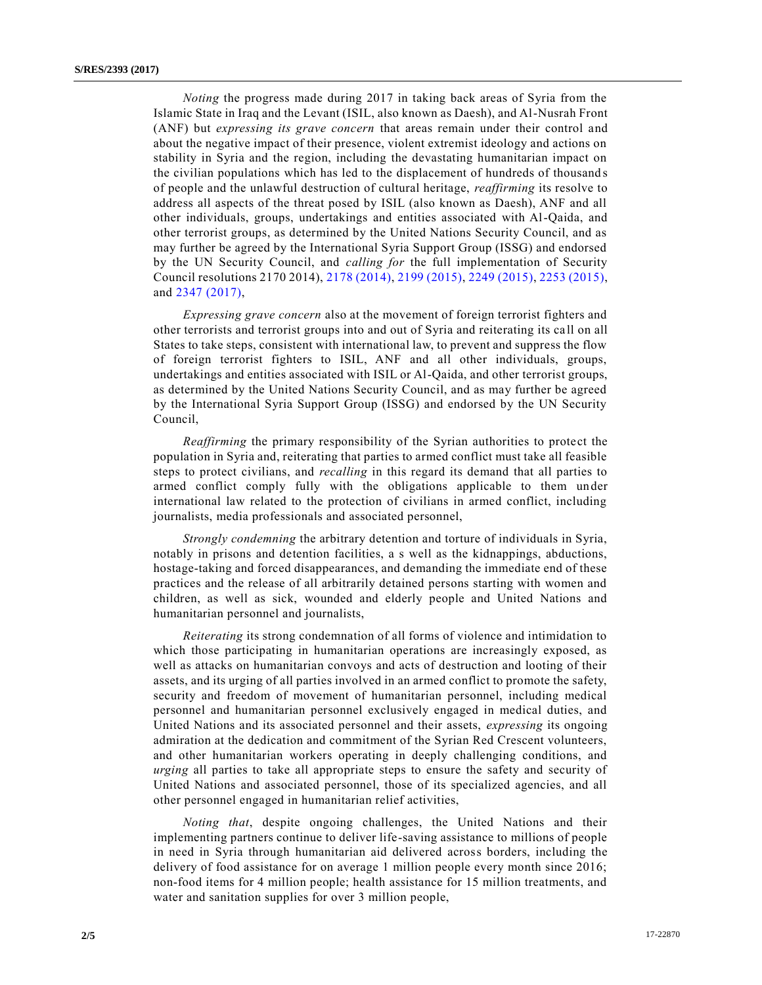*Noting* the progress made during 2017 in taking back areas of Syria from the Islamic State in Iraq and the Levant (ISIL, also known as Daesh), and Al-Nusrah Front (ANF) but *expressing its grave concern* that areas remain under their control and about the negative impact of their presence, violent extremist ideology and actions on stability in Syria and the region, including the devastating humanitarian impact on the civilian populations which has led to the displacement of hundreds of thousand s of people and the unlawful destruction of cultural heritage, *reaffirming* its resolve to address all aspects of the threat posed by ISIL (also known as Daesh), ANF and all other individuals, groups, undertakings and entities associated with Al-Qaida, and other terrorist groups, as determined by the United Nations Security Council, and as may further be agreed by the International Syria Support Group (ISSG) and endorsed by the UN Security Council, and *calling for* the full implementation of Security Council resolutions 2170 2014), [2178 \(2014\),](https://undocs.org/S/RES/2178(2014)) [2199 \(2015\),](https://undocs.org/S/RES/2199(2015)) [2249 \(2015\),](https://undocs.org/S/RES/2249(2015)) [2253 \(2015\),](https://undocs.org/S/RES/2253(2015)) and [2347 \(2017\),](https://undocs.org/S/RES/2347(2017))

*Expressing grave concern* also at the movement of foreign terrorist fighters and other terrorists and terrorist groups into and out of Syria and reiterating its ca ll on all States to take steps, consistent with international law, to prevent and suppress the flow of foreign terrorist fighters to ISIL, ANF and all other individuals, groups, undertakings and entities associated with ISIL or Al-Qaida, and other terrorist groups, as determined by the United Nations Security Council, and as may further be agreed by the International Syria Support Group (ISSG) and endorsed by the UN Security Council,

*Reaffirming* the primary responsibility of the Syrian authorities to protect the population in Syria and, reiterating that parties to armed conflict must take all feasible steps to protect civilians, and *recalling* in this regard its demand that all parties to armed conflict comply fully with the obligations applicable to them under international law related to the protection of civilians in armed conflict, including journalists, media professionals and associated personnel,

*Strongly condemning* the arbitrary detention and torture of individuals in Syria, notably in prisons and detention facilities, a s well as the kidnappings, abductions, hostage-taking and forced disappearances, and demanding the immediate end of these practices and the release of all arbitrarily detained persons starting with women and children, as well as sick, wounded and elderly people and United Nations and humanitarian personnel and journalists,

*Reiterating* its strong condemnation of all forms of violence and intimidation to which those participating in humanitarian operations are increasingly exposed, as well as attacks on humanitarian convoys and acts of destruction and looting of their assets, and its urging of all parties involved in an armed conflict to promote the safety, security and freedom of movement of humanitarian personnel, including medical personnel and humanitarian personnel exclusively engaged in medical duties, and United Nations and its associated personnel and their assets, *expressing* its ongoing admiration at the dedication and commitment of the Syrian Red Crescent volunteers, and other humanitarian workers operating in deeply challenging conditions, and *urging* all parties to take all appropriate steps to ensure the safety and security of United Nations and associated personnel, those of its specialized agencies, and all other personnel engaged in humanitarian relief activities,

*Noting that*, despite ongoing challenges, the United Nations and their implementing partners continue to deliver life-saving assistance to millions of people in need in Syria through humanitarian aid delivered across borders, including the delivery of food assistance for on average 1 million people every month since 2016; non-food items for 4 million people; health assistance for 15 million treatments, and water and sanitation supplies for over 3 million people,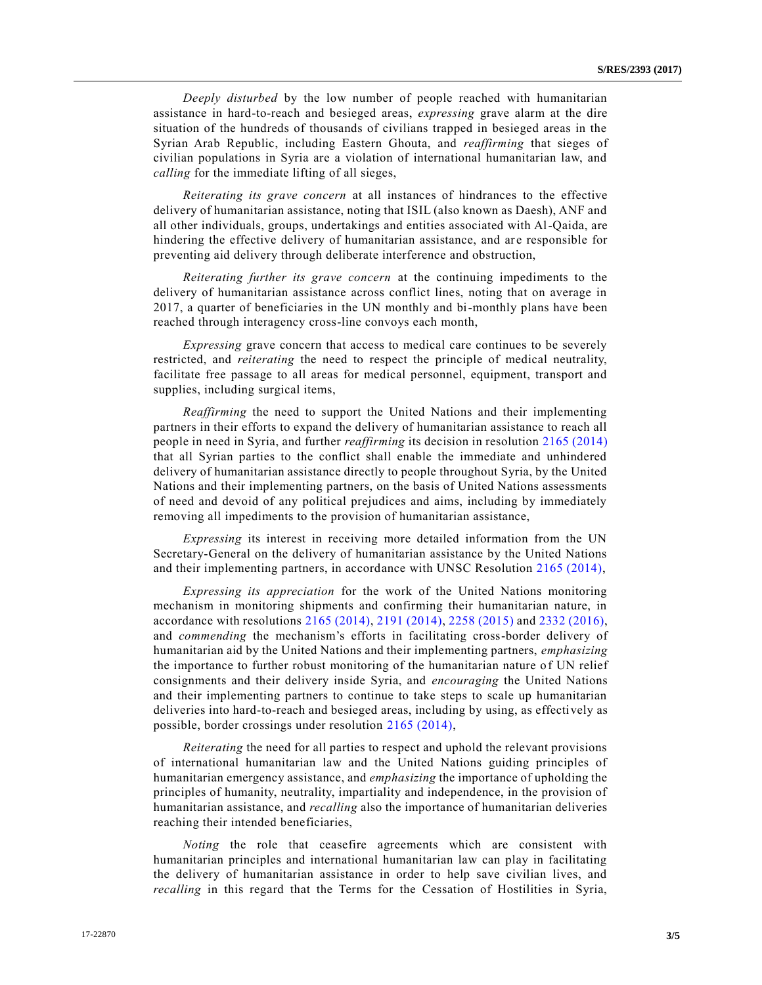*Deeply disturbed* by the low number of people reached with humanitarian assistance in hard-to-reach and besieged areas, *expressing* grave alarm at the dire situation of the hundreds of thousands of civilians trapped in besieged areas in the Syrian Arab Republic, including Eastern Ghouta, and *reaffirming* that sieges of civilian populations in Syria are a violation of international humanitarian law, and *calling* for the immediate lifting of all sieges,

*Reiterating its grave concern* at all instances of hindrances to the effective delivery of humanitarian assistance, noting that ISIL (also known as Daesh), ANF and all other individuals, groups, undertakings and entities associated with Al-Qaida, are hindering the effective delivery of humanitarian assistance, and are responsible for preventing aid delivery through deliberate interference and obstruction,

*Reiterating further its grave concern* at the continuing impediments to the delivery of humanitarian assistance across conflict lines, noting that on average in 2017, a quarter of beneficiaries in the UN monthly and bi-monthly plans have been reached through interagency cross-line convoys each month,

*Expressing* grave concern that access to medical care continues to be severely restricted, and *reiterating* the need to respect the principle of medical neutrality, facilitate free passage to all areas for medical personnel, equipment, transport and supplies, including surgical items,

*Reaffirming* the need to support the United Nations and their implementing partners in their efforts to expand the delivery of humanitarian assistance to reach all people in need in Syria, and further *reaffirming* its decision in resolution [2165 \(2014\)](https://undocs.org/S/RES/2165(2014)) that all Syrian parties to the conflict shall enable the immediate and unhindered delivery of humanitarian assistance directly to people throughout Syria, by the United Nations and their implementing partners, on the basis of United Nations assessments of need and devoid of any political prejudices and aims, including by immediately removing all impediments to the provision of humanitarian assistance,

*Expressing* its interest in receiving more detailed information from the UN Secretary-General on the delivery of humanitarian assistance by the United Nations and their implementing partners, in accordance with UNSC Resolution [2165 \(2014\),](https://undocs.org/S/RES/2165(2014))

*Expressing its appreciation* for the work of the United Nations monitoring mechanism in monitoring shipments and confirming their humanitarian nature, in accordance with resolutions [2165 \(2014\),](https://undocs.org/S/RES/2165(2014)) [2191 \(2014\),](https://undocs.org/S/RES/2191(2014)) [2258 \(2015\)](https://undocs.org/S/RES/2258(2015)) and [2332 \(2016\),](https://undocs.org/S/RES/2332(2016)) and *commending* the mechanism's efforts in facilitating cross-border delivery of humanitarian aid by the United Nations and their implementing partners, *emphasizing* the importance to further robust monitoring of the humanitarian nature of UN relief consignments and their delivery inside Syria, and *encouraging* the United Nations and their implementing partners to continue to take steps to scale up humanitarian deliveries into hard-to-reach and besieged areas, including by using, as effectively as possible, border crossings under resolution [2165 \(2014\),](https://undocs.org/S/RES/2165(2014))

*Reiterating* the need for all parties to respect and uphold the relevant provisions of international humanitarian law and the United Nations guiding principles of humanitarian emergency assistance, and *emphasizing* the importance of upholding the principles of humanity, neutrality, impartiality and independence, in the provision of humanitarian assistance, and *recalling* also the importance of humanitarian deliveries reaching their intended beneficiaries,

*Noting* the role that ceasefire agreements which are consistent with humanitarian principles and international humanitarian law can play in facilitating the delivery of humanitarian assistance in order to help save civilian lives, and *recalling* in this regard that the Terms for the Cessation of Hostilities in Syria,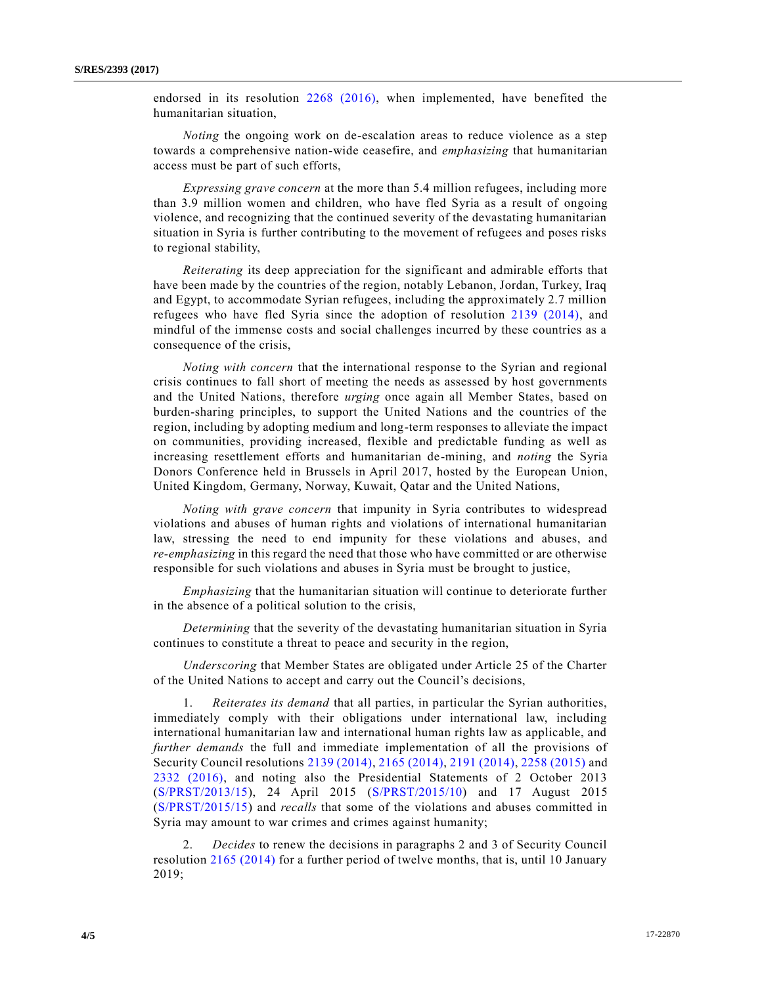endorsed in its resolution [2268 \(2016\),](https://undocs.org/S/RES/2268(2016)) when implemented, have benefited the humanitarian situation,

*Noting* the ongoing work on de-escalation areas to reduce violence as a step towards a comprehensive nation-wide ceasefire, and *emphasizing* that humanitarian access must be part of such efforts,

*Expressing grave concern* at the more than 5.4 million refugees, including more than 3.9 million women and children, who have fled Syria as a result of ongoing violence, and recognizing that the continued severity of the devastating humanitarian situation in Syria is further contributing to the movement of refugees and poses risks to regional stability,

*Reiterating* its deep appreciation for the significant and admirable efforts that have been made by the countries of the region, notably Lebanon, Jordan, Turkey, Iraq and Egypt, to accommodate Syrian refugees, including the approximately 2.7 million refugees who have fled Syria since the adoption of resolution [2139 \(2014\),](https://undocs.org/S/RES/2139(2014)) and mindful of the immense costs and social challenges incurred by these countries as a consequence of the crisis,

*Noting with concern* that the international response to the Syrian and regional crisis continues to fall short of meeting the needs as assessed by host governments and the United Nations, therefore *urging* once again all Member States, based on burden-sharing principles, to support the United Nations and the countries of the region, including by adopting medium and long-term responses to alleviate the impact on communities, providing increased, flexible and predictable funding as well as increasing resettlement efforts and humanitarian de-mining, and *noting* the Syria Donors Conference held in Brussels in April 2017, hosted by the European Union, United Kingdom, Germany, Norway, Kuwait, Qatar and the United Nations,

*Noting with grave concern* that impunity in Syria contributes to widespread violations and abuses of human rights and violations of international humanitarian law, stressing the need to end impunity for these violations and abuses, and *re-emphasizing* in this regard the need that those who have committed or are otherwise responsible for such violations and abuses in Syria must be brought to justice,

*Emphasizing* that the humanitarian situation will continue to deteriorate further in the absence of a political solution to the crisis,

*Determining* that the severity of the devastating humanitarian situation in Syria continues to constitute a threat to peace and security in the region,

*Underscoring* that Member States are obligated under Article 25 of the Charter of the United Nations to accept and carry out the Council's decisions,

1. *Reiterates its demand* that all parties, in particular the Syrian authorities, immediately comply with their obligations under international law, including international humanitarian law and international human rights law as applicable, and *further demands* the full and immediate implementation of all the provisions of Security Council resolutions [2139 \(2014\),](https://undocs.org/S/RES/2139(2014)) [2165 \(2014\),](https://undocs.org/S/RES/2165(2014)) [2191 \(2014\),](https://undocs.org/S/RES/2191(2014)) [2258 \(2015\)](https://undocs.org/S/RES/2258(2015)) and [2332 \(2016\),](https://undocs.org/S/RES/2332(2016)) and noting also the Presidential Statements of 2 October 2013 [\(S/PRST/2013/15\)](https://undocs.org/S/PRST/2013/15), 24 April 2015 [\(S/PRST/2015/10\)](https://undocs.org/S/PRST/2015/10) and 17 August 2015 [\(S/PRST/2015/15\)](https://undocs.org/S/PRST/2015/15) and *recalls* that some of the violations and abuses committed in Syria may amount to war crimes and crimes against humanity;

2. *Decides* to renew the decisions in paragraphs 2 and 3 of Security Council resolution [2165 \(2014\)](https://undocs.org/S/RES/2165(2014)) for a further period of twelve months, that is, until 10 January 2019;